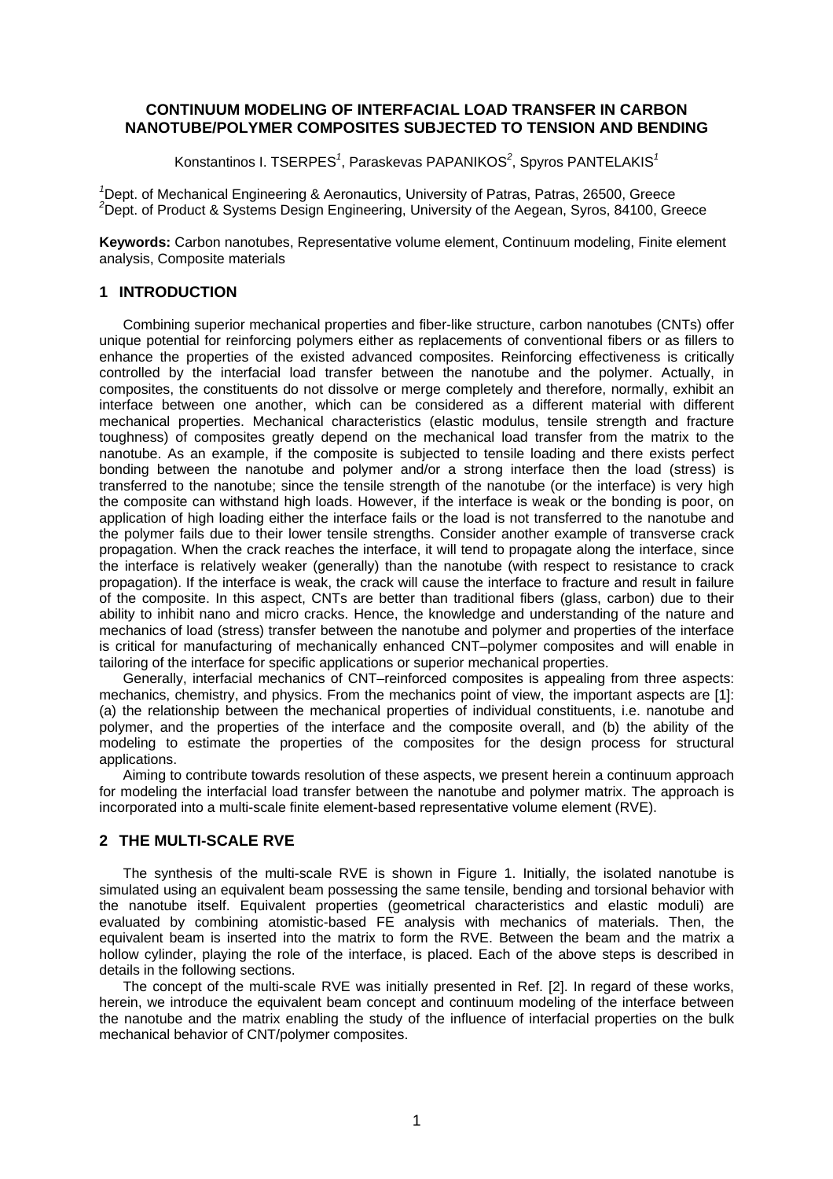## **CONTINUUM MODELING OF INTERFACIAL LOAD TRANSFER IN CARBON NANOTUBE/POLYMER COMPOSITES SUBJECTED TO TENSION AND BENDING**

Konstantinos I. TSERPES*<sup>1</sup>* , Paraskevas PAPANIKOS*<sup>2</sup>* , Spyros PANTELAKIS*<sup>1</sup>*

<sup>1</sup>Dept. of Mechanical Engineering & Aeronautics, University of Patras, Patras, 26500, Greece <sup>2</sup><br><sup>2</sup>Dept. of Product 8, Suctame Decise Engineering, University of the Aerona Surea, 24400, Cro  $2$ Dept. of Product & Systems Design Engineering, University of the Aegean, Syros, 84100, Greece

**Keywords:** Carbon nanotubes, Representative volume element, Continuum modeling, Finite element analysis, Composite materials

### **1 INTRODUCTION**

Combining superior mechanical properties and fiber-like structure, carbon nanotubes (CNTs) offer unique potential for reinforcing polymers either as replacements of conventional fibers or as fillers to enhance the properties of the existed advanced composites. Reinforcing effectiveness is critically controlled by the interfacial load transfer between the nanotube and the polymer. Actually, in composites, the constituents do not dissolve or merge completely and therefore, normally, exhibit an interface between one another, which can be considered as a different material with different mechanical properties. Mechanical characteristics (elastic modulus, tensile strength and fracture toughness) of composites greatly depend on the mechanical load transfer from the matrix to the nanotube. As an example, if the composite is subjected to tensile loading and there exists perfect bonding between the nanotube and polymer and/or a strong interface then the load (stress) is transferred to the nanotube; since the tensile strength of the nanotube (or the interface) is very high the composite can withstand high loads. However, if the interface is weak or the bonding is poor, on application of high loading either the interface fails or the load is not transferred to the nanotube and the polymer fails due to their lower tensile strengths. Consider another example of transverse crack propagation. When the crack reaches the interface, it will tend to propagate along the interface, since the interface is relatively weaker (generally) than the nanotube (with respect to resistance to crack propagation). If the interface is weak, the crack will cause the interface to fracture and result in failure of the composite. In this aspect, CNTs are better than traditional fibers (glass, carbon) due to their ability to inhibit nano and micro cracks. Hence, the knowledge and understanding of the nature and mechanics of load (stress) transfer between the nanotube and polymer and properties of the interface is critical for manufacturing of mechanically enhanced CNT–polymer composites and will enable in tailoring of the interface for specific applications or superior mechanical properties.

Generally, interfacial mechanics of CNT–reinforced composites is appealing from three aspects: mechanics, chemistry, and physics. From the mechanics point of view, the important aspects are [1]: (a) the relationship between the mechanical properties of individual constituents, i.e. nanotube and polymer, and the properties of the interface and the composite overall, and (b) the ability of the modeling to estimate the properties of the composites for the design process for structural applications.

Aiming to contribute towards resolution of these aspects, we present herein a continuum approach for modeling the interfacial load transfer between the nanotube and polymer matrix. The approach is incorporated into a multi-scale finite element-based representative volume element (RVE).

### **2 THE MULTI-SCALE RVE**

The synthesis of the multi-scale RVE is shown in Figure 1. Initially, the isolated nanotube is simulated using an equivalent beam possessing the same tensile, bending and torsional behavior with the nanotube itself. Equivalent properties (geometrical characteristics and elastic moduli) are evaluated by combining atomistic-based FE analysis with mechanics of materials. Then, the equivalent beam is inserted into the matrix to form the RVE. Between the beam and the matrix a hollow cylinder, playing the role of the interface, is placed. Each of the above steps is described in details in the following sections.

The concept of the multi-scale RVE was initially presented in Ref. [2]. In regard of these works, herein, we introduce the equivalent beam concept and continuum modeling of the interface between the nanotube and the matrix enabling the study of the influence of interfacial properties on the bulk mechanical behavior of CNT/polymer composites.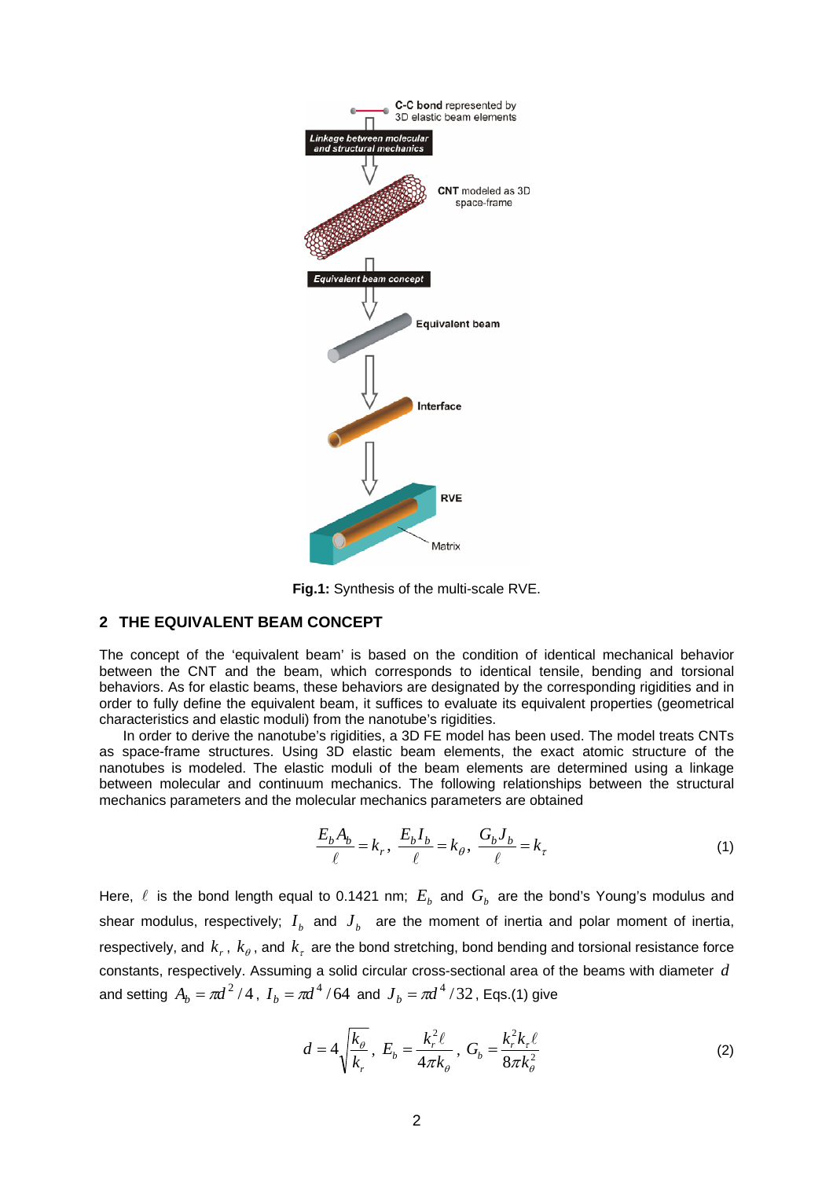

**Fig.1:** Synthesis of the multi-scale RVE.

# **2 THE EQUIVALENT BEAM CONCEPT**

The concept of the 'equivalent beam' is based on the condition of identical mechanical behavior between the CNT and the beam, which corresponds to identical tensile, bending and torsional behaviors. As for elastic beams, these behaviors are designated by the corresponding rigidities and in order to fully define the equivalent beam, it suffices to evaluate its equivalent properties (geometrical characteristics and elastic moduli) from the nanotube's rigidities.

In order to derive the nanotube's rigidities, a 3D FE model has been used. The model treats CNTs as space-frame structures. Using 3D elastic beam elements, the exact atomic structure of the nanotubes is modeled. The elastic moduli of the beam elements are determined using a linkage between molecular and continuum mechanics. The following relationships between the structural mechanics parameters and the molecular mechanics parameters are obtained

$$
\frac{E_b A_b}{\ell} = k_r, \quad \frac{E_b I_b}{\ell} = k_\theta, \quad \frac{G_b J_b}{\ell} = k_\tau \tag{1}
$$

Here,  $\ell$  is the bond length equal to 0.1421 nm;  $E<sub>b</sub>$  and  $G<sub>b</sub>$  are the bond's Young's modulus and shear modulus, respectively;  $I_b$  and  $J_b$  are the moment of inertia and polar moment of inertia, respectively, and  $k_r$ ,  $k_\theta$ , and  $k_r$  are the bond stretching, bond bending and torsional resistance force constants, respectively. Assuming a solid circular cross-sectional area of the beams with diameter *d* and setting  $A_b = \pi d^2 / 4$ ,  $I_b = \pi d^4 / 64$  and  $J_b = \pi d^4 / 32$ , Eqs.(1) give

$$
d = 4\sqrt{\frac{k_{\theta}}{k_r}}, \ E_b = \frac{k_r^2 \ell}{4\pi k_{\theta}}, \ G_b = \frac{k_r^2 k_{\tau} \ell}{8\pi k_{\theta}^2}
$$
 (2)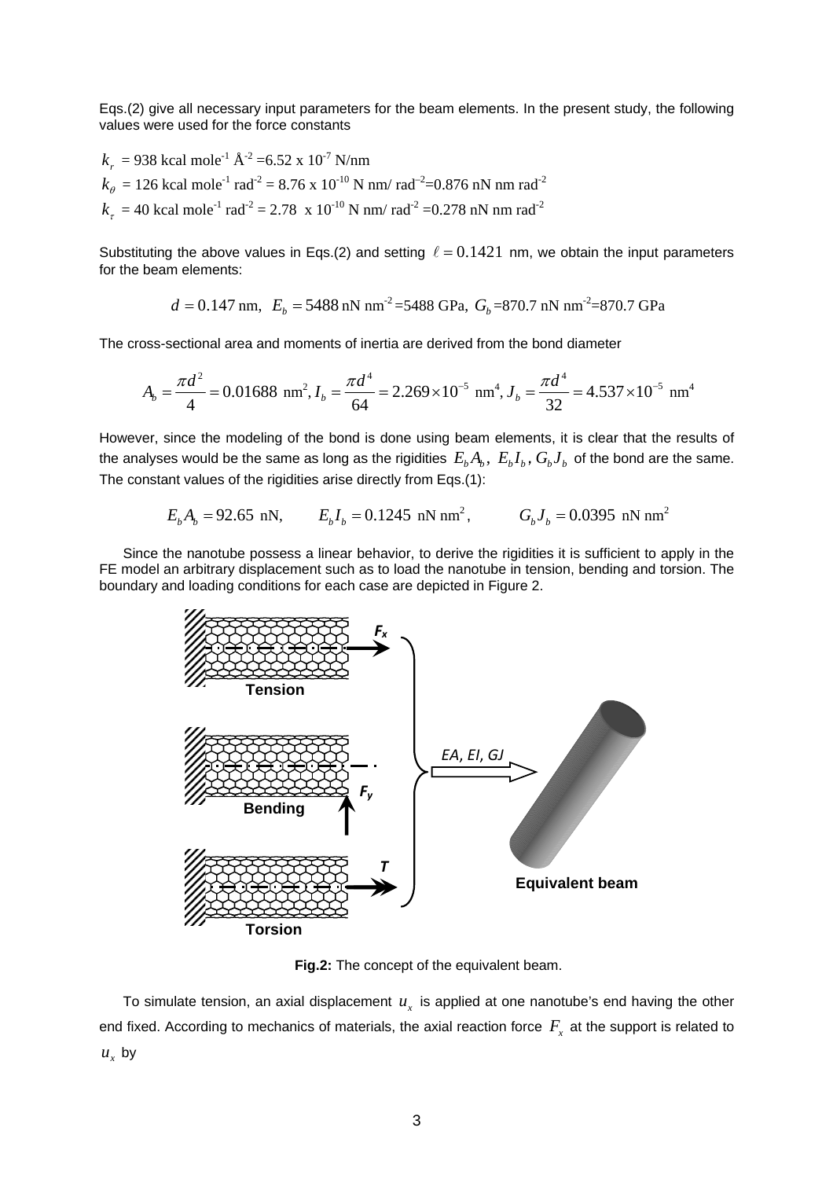Eqs.(2) give all necessary input parameters for the beam elements. In the present study, the following values were used for the force constants

$$
k_r = 938
$$
 kcal mole<sup>-1</sup> Å<sup>-2</sup> =6.52 x 10<sup>-7</sup> N/nm  
\n $k_\theta = 126$  kcal mole<sup>-1</sup> rad<sup>-2</sup> = 8.76 x 10<sup>-10</sup> N nm/rad<sup>-2</sup>=0.876 nN nm rad<sup>-2</sup>  
\n $k_r = 40$  kcal mole<sup>-1</sup> rad<sup>-2</sup> = 2.78 x 10<sup>-10</sup> N nm/rad<sup>-2</sup> =0.278 nN nm rad<sup>-2</sup>

Substituting the above values in Eqs.(2) and setting  $\ell = 0.1421$  nm, we obtain the input parameters for the beam elements:

$$
d = 0.147
$$
 nm,  $E_b = 5488$  nN nm<sup>-2</sup> = 5488 GPa,  $G_b = 870.7$  nN nm<sup>-2</sup> = 870.7 GPa

The cross-sectional area and moments of inertia are derived from the bond diameter

$$
A_b = \frac{\pi d^2}{4} = 0.01688 \text{ nm}^2, I_b = \frac{\pi d^4}{64} = 2.269 \times 10^{-5} \text{ nm}^4, J_b = \frac{\pi d^4}{32} = 4.537 \times 10^{-5} \text{ nm}^4
$$

However, since the modeling of the bond is done using beam elements, it is clear that the results of the analyses would be the same as long as the rigidities  $E_{b}A_{b}$ ,  $E_{b}I_{b}$ ,  $G_{b}J_{b}$  of the bond are the same. The constant values of the rigidities arise directly from Eqs.(1):

$$
E_b A_b = 92.65
$$
 nN,  $E_b I_b = 0.1245$  nN nm<sup>2</sup>,  $G_b J_b = 0.0395$  nN nm<sup>2</sup>

Since the nanotube possess a linear behavior, to derive the rigidities it is sufficient to apply in the FE model an arbitrary displacement such as to load the nanotube in tension, bending and torsion. The boundary and loading conditions for each case are depicted in Figure 2.



**Fig.2:** The concept of the equivalent beam.

To simulate tension, an axial displacement  $u<sub>r</sub>$  is applied at one nanotube's end having the other end fixed. According to mechanics of materials, the axial reaction force  $F_{\overline{x}}$  at the support is related to  $u<sub>r</sub>$  by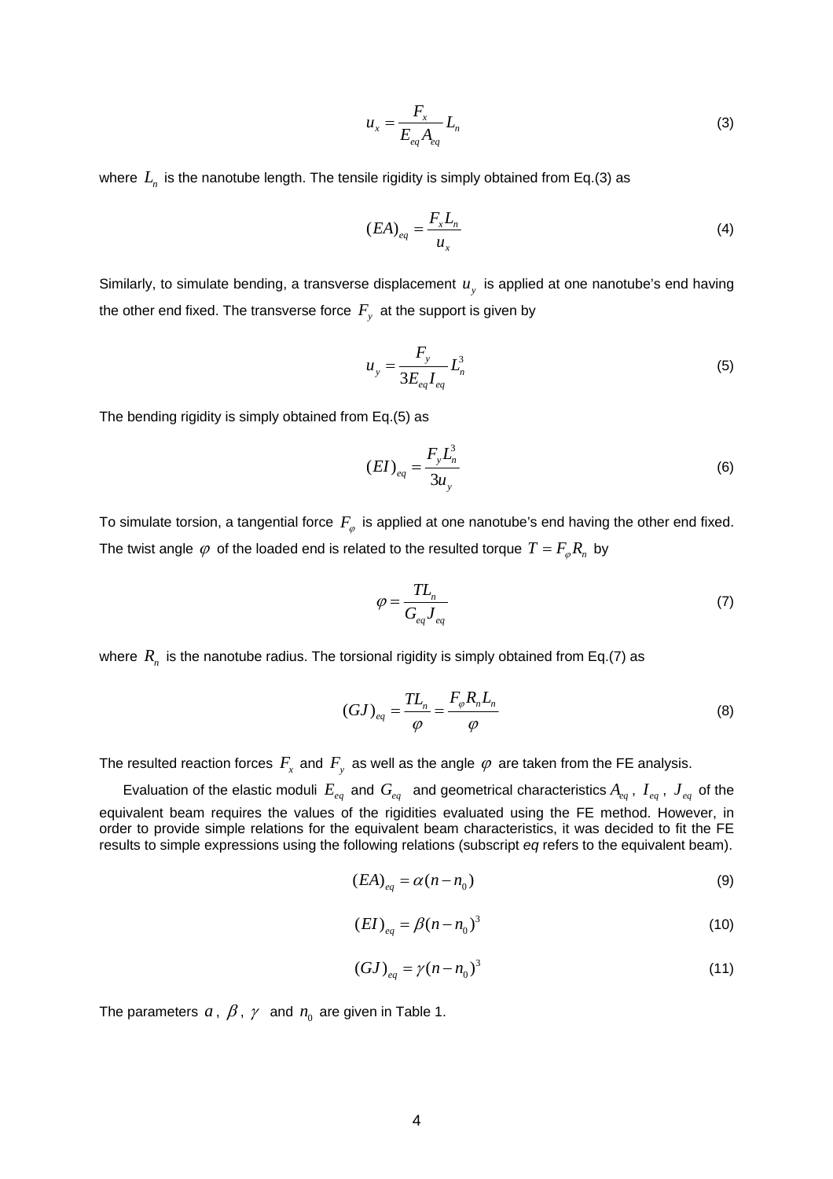$$
u_x = \frac{F_x}{E_{eq}A_{eq}}L_n
$$
 (3)

where  $L_n$  is the nanotube length. The tensile rigidity is simply obtained from Eq.(3) as

$$
(EA)_{eq} = \frac{F_x L_n}{u_x} \tag{4}
$$

Similarly, to simulate bending, a transverse displacement  $u<sub>v</sub>$  is applied at one nanotube's end having the other end fixed. The transverse force  $F_y$  at the support is given by

$$
u_y = \frac{F_y}{3E_{eq}I_{eq}}L_n^3
$$
\n
$$
\tag{5}
$$

The bending rigidity is simply obtained from Eq.(5) as

$$
(EI)_{eq} = \frac{F_y L_n^3}{3u_y} \tag{6}
$$

To simulate torsion, a tangential force  $F_{\varphi}$  is applied at one nanotube's end having the other end fixed. The twist angle  $\varphi$  of the loaded end is related to the resulted torque  $T = F_{\varphi} R_{\eta}$  by

$$
\varphi = \frac{TL_n}{G_{eq}J_{eq}}\tag{7}
$$

where  $R_n$  is the nanotube radius. The torsional rigidity is simply obtained from Eq.(7) as

$$
(GJ)_{eq} = \frac{TL_n}{\varphi} = \frac{F_{\varphi}R_nL_n}{\varphi}
$$
\n(8)

The resulted reaction forces  $F_x$  and  $F_y$  as well as the angle  $\varphi$  are taken from the FE analysis.

Evaluation of the elastic moduli  $E_{eq}$  and  $G_{eq}$  and geometrical characteristics  $A_{eq}$ ,  $I_{eq}$ ,  $J_{eq}$  of the equivalent beam requires the values of the rigidities evaluated using the FE method. However, in order to provide simple relations for the equivalent beam characteristics, it was decided to fit the FE results to simple expressions using the following relations (subscript *eq* refers to the equivalent beam).

$$
(EA)_{eq} = \alpha (n - n_0) \tag{9}
$$

$$
(EI)_{eq} = \beta (n - n_0)^3
$$
 (10)

$$
(GJ)_{eq} = \gamma (n - n_0)^3 \tag{11}
$$

The parameters  $a, \beta, \gamma$  and  $n_0$  are given in Table 1.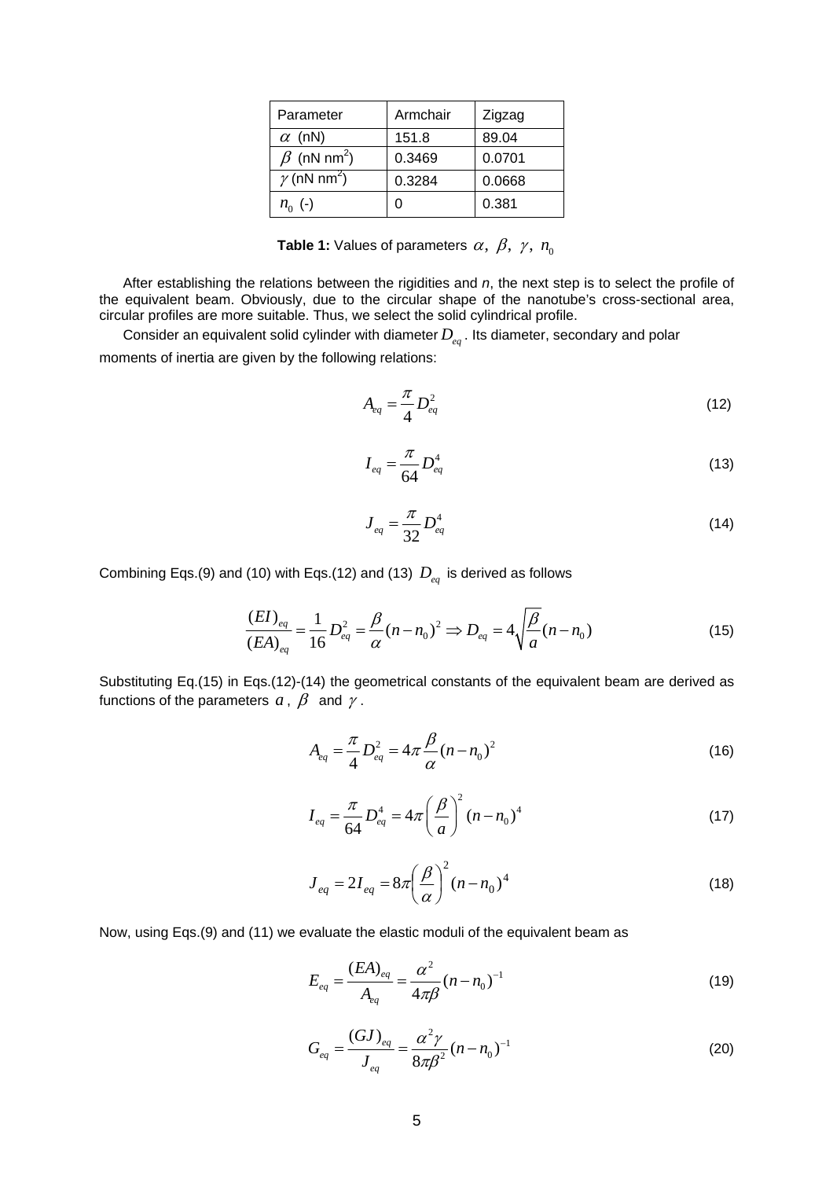| Parameter                      | Armchair | Zigzag |
|--------------------------------|----------|--------|
| $\alpha$ (nN)                  | 151.8    | 89.04  |
| $\beta$ (nN nm <sup>2</sup> )  | 0.3469   | 0.0701 |
| $\gamma$ (nN nm <sup>2</sup> ) | 0.3284   | 0.0668 |
| $n_{0}$ (-)                    |          | 0.381  |

**Table 1:** Values of parameters  $\alpha$ ,  $\beta$ ,  $\gamma$ ,  $n_0$ 

After establishing the relations between the rigidities and *n*, the next step is to select the profile of the equivalent beam. Obviously, due to the circular shape of the nanotube's cross-sectional area, circular profiles are more suitable. Thus, we select the solid cylindrical profile.

Consider an equivalent solid cylinder with diameter *Deq* . Its diameter, secondary and polar moments of inertia are given by the following relations:

$$
A_{eq} = \frac{\pi}{4} D_{eq}^2 \tag{12}
$$

$$
I_{eq} = \frac{\pi}{64} D_{eq}^4
$$
 (13)

$$
J_{eq} = \frac{\pi}{32} D_{eq}^4
$$
 (14)

Combining Eqs.(9) and (10) with Eqs.(12) and (13)  $D_{eq}$  is derived as follows

$$
\frac{(EI)_{eq}}{(EA)_{eq}} = \frac{1}{16} D_{eq}^2 = \frac{\beta}{\alpha} (n - n_0)^2 \Rightarrow D_{eq} = 4 \sqrt{\frac{\beta}{a}} (n - n_0)
$$
\n(15)

Substituting Eq.(15) in Eqs.(12)-(14) the geometrical constants of the equivalent beam are derived as functions of the parameters  $a, \beta$  and  $\gamma$ .

$$
A_{eq} = \frac{\pi}{4} D_{eq}^2 = 4\pi \frac{\beta}{\alpha} (n - n_0)^2
$$
 (16)

$$
I_{eq} = \frac{\pi}{64} D_{eq}^4 = 4\pi \left(\frac{\beta}{a}\right)^2 (n - n_0)^4
$$
 (17)

$$
J_{eq} = 2I_{eq} = 8\pi \left(\frac{\beta}{\alpha}\right)^2 (n - n_0)^4
$$
 (18)

Now, using Eqs.(9) and (11) we evaluate the elastic moduli of the equivalent beam as

$$
E_{eq} = \frac{(EA)_{eq}}{A_{eq}} = \frac{\alpha^2}{4\pi\beta} (n - n_0)^{-1}
$$
 (19)

$$
G_{eq} = \frac{(GJ)_{eq}}{J_{eq}} = \frac{\alpha^2 \gamma}{8\pi\beta^2} (n - n_0)^{-1}
$$
 (20)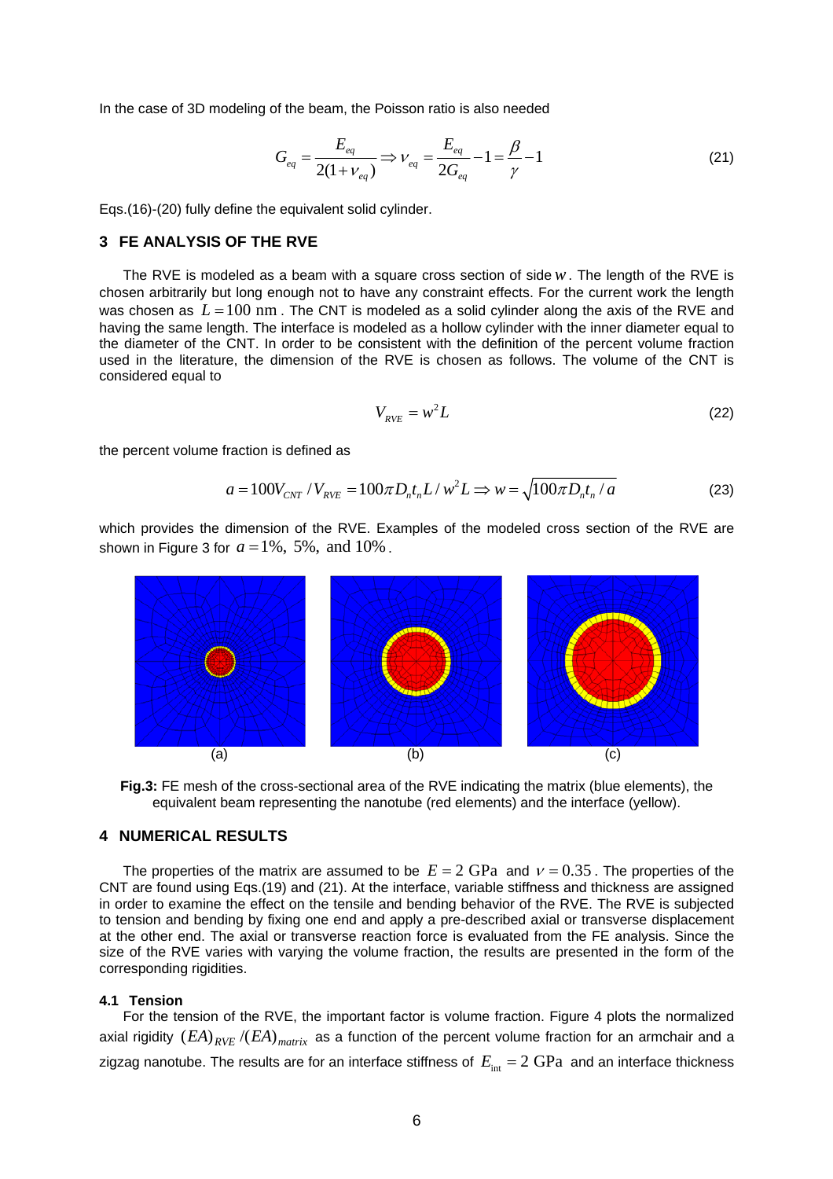In the case of 3D modeling of the beam, the Poisson ratio is also needed

$$
G_{eq} = \frac{E_{eq}}{2(1 + v_{eq})} \Rightarrow v_{eq} = \frac{E_{eq}}{2G_{eq}} - 1 = \frac{\beta}{\gamma} - 1
$$
 (21)

Eqs.(16)-(20) fully define the equivalent solid cylinder.

### **3 FE ANALYSIS OF THE RVE**

The RVE is modeled as a beam with a square cross section of side*w*. The length of the RVE is chosen arbitrarily but long enough not to have any constraint effects. For the current work the length was chosen as  $L = 100$  nm. The CNT is modeled as a solid cylinder along the axis of the RVE and having the same length. The interface is modeled as a hollow cylinder with the inner diameter equal to the diameter of the CNT. In order to be consistent with the definition of the percent volume fraction used in the literature, the dimension of the RVE is chosen as follows. The volume of the CNT is considered equal to

$$
V_{RVE} = w^2 L \tag{22}
$$

the percent volume fraction is defined as

$$
a = 100V_{CNT}/V_{RVE} = 100\pi D_n t_n L/w^2 L \Rightarrow w = \sqrt{100\pi D_n t_n/a}
$$
 (23)

which provides the dimension of the RVE. Examples of the modeled cross section of the RVE are shown in Figure 3 for  $a = 1\%$ , 5%, and 10%.



**Fig.3:** FE mesh of the cross-sectional area of the RVE indicating the matrix (blue elements), the equivalent beam representing the nanotube (red elements) and the interface (yellow).

### **4 NUMERICAL RESULTS**

The properties of the matrix are assumed to be  $E = 2 \text{ GPa}$  and  $v = 0.35$ . The properties of the CNT are found using Eqs.(19) and (21). At the interface, variable stiffness and thickness are assigned in order to examine the effect on the tensile and bending behavior of the RVE. The RVE is subjected to tension and bending by fixing one end and apply a pre-described axial or transverse displacement at the other end. The axial or transverse reaction force is evaluated from the FE analysis. Since the size of the RVE varies with varying the volume fraction, the results are presented in the form of the corresponding rigidities.

#### **4.1 Tension**

For the tension of the RVE, the important factor is volume fraction. Figure 4 plots the normalized axial rigidity  $(EA)_{RVF}$   $/(EA)_{matrix}$  as a function of the percent volume fraction for an armchair and a zigzag nanotube. The results are for an interface stiffness of  $E_{\text{int}} = 2 \text{ GPa}$  and an interface thickness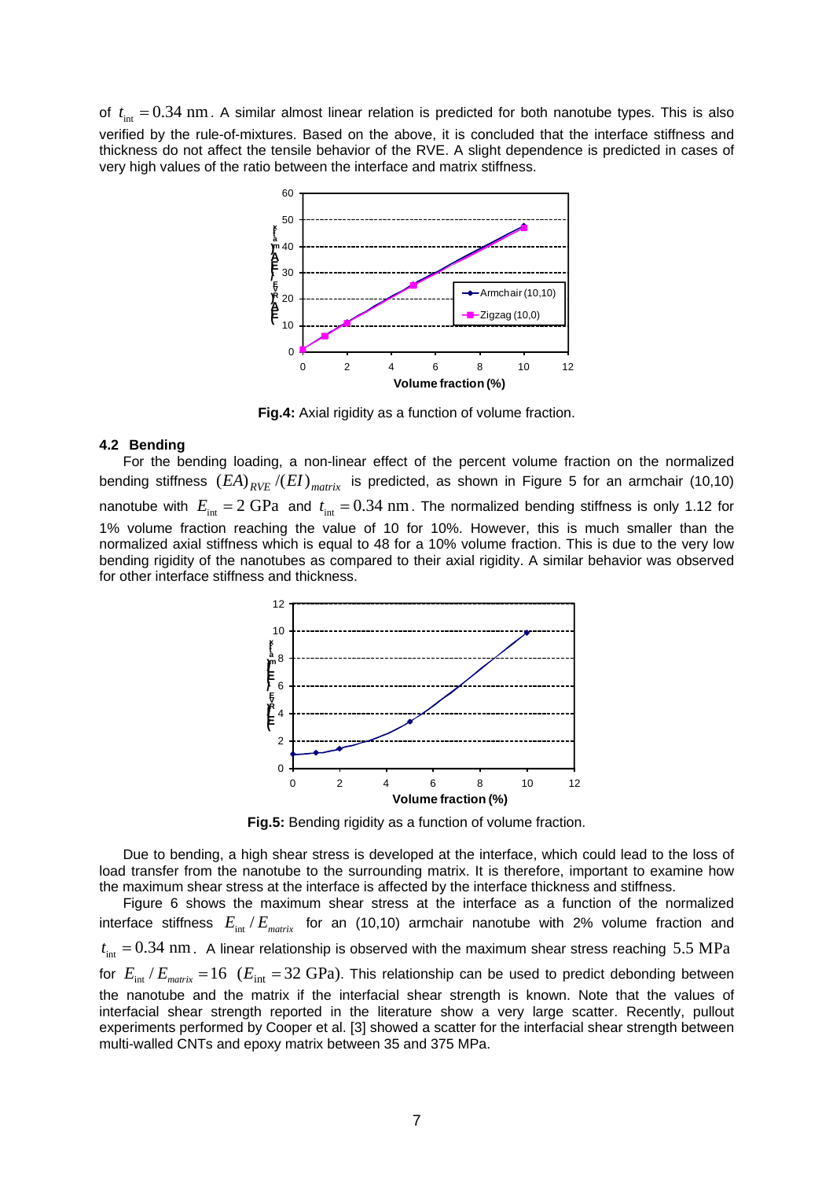of  $t_{\text{int}} = 0.34$  nm. A similar almost linear relation is predicted for both nanotube types. This is also verified by the rule-of-mixtures. Based on the above, it is concluded that the interface stiffness and thickness do not affect the tensile behavior of the RVE. A slight dependence is predicted in cases of very high values of the ratio between the interface and matrix stiffness.



**Fig.4:** Axial rigidity as a function of volume fraction.

## **4.2 Bending**

For the bending loading, a non-linear effect of the percent volume fraction on the normalized bending stiffness  $(EA)_{RVF}$  /( $EI$ )<sub>matrix</sub> is predicted, as shown in Figure 5 for an armchair (10,10) nanotube with  $E_{\text{int}} = 2 \text{ GPa}$  and  $t_{\text{int}} = 0.34 \text{ nm}$ . The normalized bending stiffness is only 1.12 for 1% volume fraction reaching the value of 10 for 10%. However, this is much smaller than the normalized axial stiffness which is equal to 48 for a 10% volume fraction. This is due to the very low bending rigidity of the nanotubes as compared to their axial rigidity. A similar behavior was observed for other interface stiffness and thickness.



**Fig.5:** Bending rigidity as a function of volume fraction.

Due to bending, a high shear stress is developed at the interface, which could lead to the loss of load transfer from the nanotube to the surrounding matrix. It is therefore, important to examine how the maximum shear stress at the interface is affected by the interface thickness and stiffness.

Figure 6 shows the maximum shear stress at the interface as a function of the normalized interface stiffness  $E_{int}/E_{matrix}$  for an (10,10) armchair nanotube with 2% volume fraction and  $t_{\text{int}} = 0.34$  nm. A linear relationship is observed with the maximum shear stress reaching 5.5 MPa for  $E_{\text{int}}/E_{\text{matrix}} = 16$  ( $E_{\text{int}} = 32$  GPa). This relationship can be used to predict debonding between the nanotube and the matrix if the interfacial shear strength is known. Note that the values of interfacial shear strength reported in the literature show a very large scatter. Recently, pullout experiments performed by Cooper et al. [3] showed a scatter for the interfacial shear strength between multi-walled CNTs and epoxy matrix between 35 and 375 MPa.